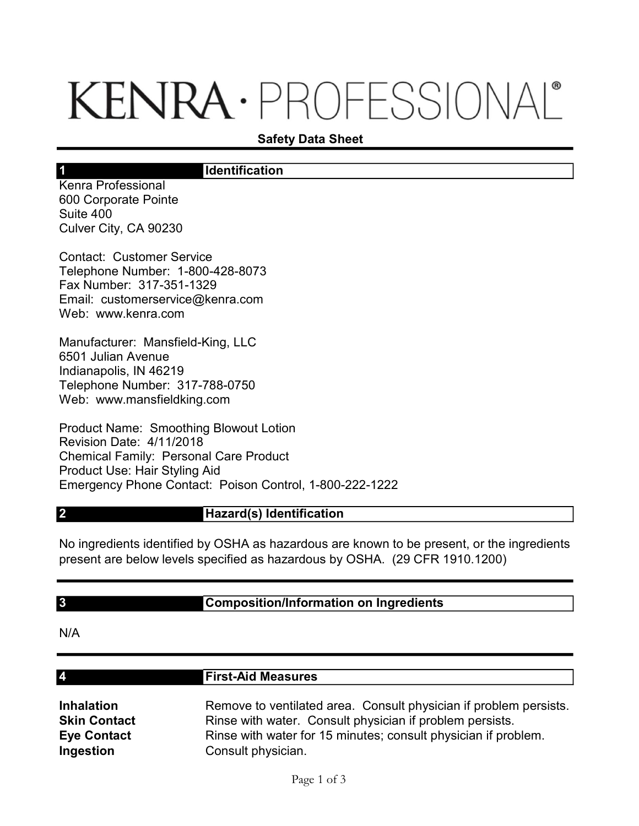# KENRA · PROFESSIONAL®

## Safety Data Sheet

## **Identification**

Kenra Professional 600 Corporate Pointe Suite 400 Culver City, CA 90230

1

Contact: Customer Service Telephone Number: 1-800-428-8073 Fax Number: 317-351-1329 Email: customerservice@kenra.com Web: www.kenra.com

Manufacturer: Mansfield-King, LLC 6501 Julian Avenue Indianapolis, IN 46219 Telephone Number: 317-788-0750 Web: www.mansfieldking.com

Product Name: Smoothing Blowout Lotion Revision Date: 4/11/2018 Chemical Family: Personal Care Product Product Use: Hair Styling Aid Emergency Phone Contact: Poison Control, 1-800-222-1222

## Hazard(s) Identification

No ingredients identified by OSHA as hazardous are known to be present, or the ingredients present are below levels specified as hazardous by OSHA. (29 CFR 1910.1200)

#### 3

2

# Composition/Information on Ingredients

N/A

4

#### First-Aid Measures

Inhalation Remove to ventilated area. Consult physician if problem persists. **Skin Contact** Rinse with water. Consult physician if problem persists. Eye Contact Rinse with water for 15 minutes; consult physician if problem. **Ingestion** Consult physician.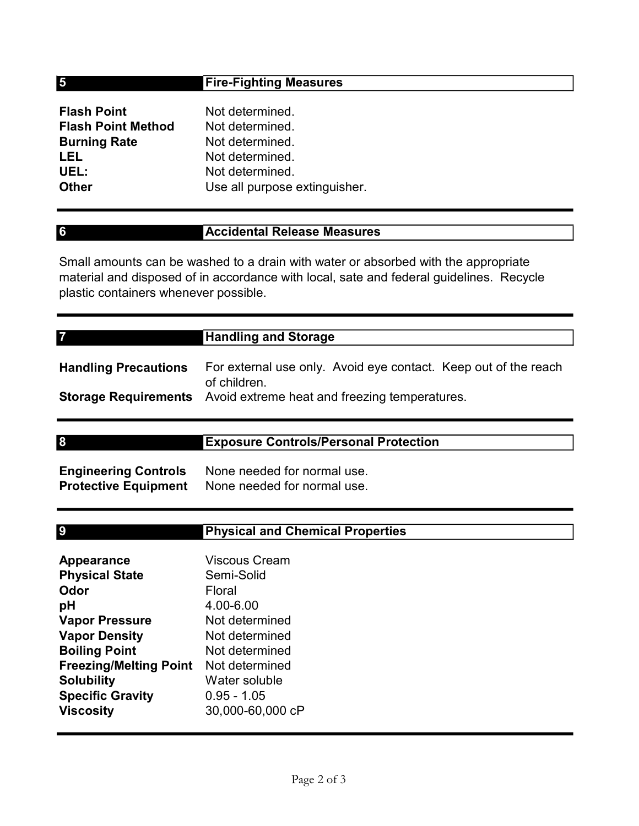# Fire-Fighting Measures

| <b>Flash Point</b>        | Not determined.               |
|---------------------------|-------------------------------|
| <b>Flash Point Method</b> | Not determined.               |
| <b>Burning Rate</b>       | Not determined.               |
| LEL                       | Not determined.               |
| UEL:                      | Not determined.               |
| <b>Other</b>              | Use all purpose extinguisher. |

5

6

7

9

# Accidental Release Measures

Small amounts can be washed to a drain with water or absorbed with the appropriate material and disposed of in accordance with local, sate and federal guidelines. Recycle plastic containers whenever possible.

| <b>Handling Precautions</b> | For external use only. Avoid eye contact. Keep out of the reach                           |
|-----------------------------|-------------------------------------------------------------------------------------------|
|                             | of children.<br><b>Storage Requirements</b> Avoid extreme heat and freezing temperatures. |

| 8                           | <b>Exposure Controls/Personal Protection</b>          |  |
|-----------------------------|-------------------------------------------------------|--|
|                             |                                                       |  |
| <b>Engineering Controls</b> | None needed for normal use.                           |  |
|                             | <b>Destastive Faulument</b> Alena nooded fernamed use |  |

| <b>Engineering Controls</b> | None needed for normal use. |
|-----------------------------|-----------------------------|
| <b>Protective Equipment</b> | None needed for normal use. |

| <b>Viscous Cream</b> |
|----------------------|
| Semi-Solid           |
| Floral               |
| 4.00-6.00            |
| Not determined       |
| Not determined       |
| Not determined       |
| Not determined       |
| Water soluble        |
| $0.95 - 1.05$        |
| 30,000-60,000 cP     |
|                      |